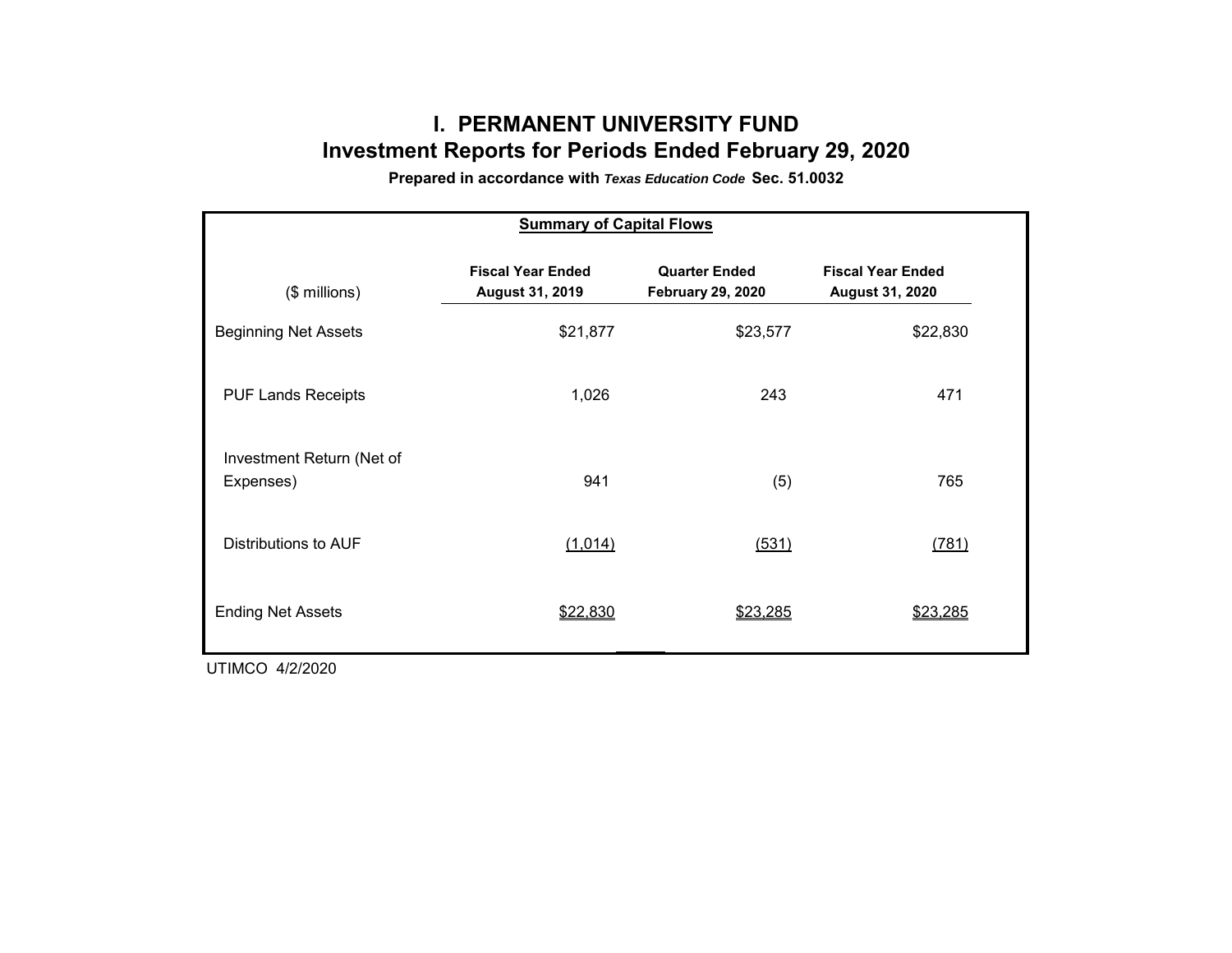# **I. PERMANENT UNIVERSITY FUND Investment Reports for Periods Ended February 29, 2020**

**Prepared in accordance with** *Texas Education Code* **Sec. 51.0032**

| <b>Summary of Capital Flows</b>        |                                             |                                                  |                                             |  |  |  |  |  |  |  |
|----------------------------------------|---------------------------------------------|--------------------------------------------------|---------------------------------------------|--|--|--|--|--|--|--|
| $($$ millions)                         | <b>Fiscal Year Ended</b><br>August 31, 2019 | <b>Quarter Ended</b><br><b>February 29, 2020</b> | <b>Fiscal Year Ended</b><br>August 31, 2020 |  |  |  |  |  |  |  |
| <b>Beginning Net Assets</b>            | \$21,877                                    | \$23,577                                         | \$22,830                                    |  |  |  |  |  |  |  |
| <b>PUF Lands Receipts</b>              | 1,026                                       | 243                                              | 471                                         |  |  |  |  |  |  |  |
| Investment Return (Net of<br>Expenses) | 941                                         | (5)                                              | 765                                         |  |  |  |  |  |  |  |
| Distributions to AUF                   | (1,014)                                     | (531)                                            | (781)                                       |  |  |  |  |  |  |  |
| <b>Ending Net Assets</b>               | \$22,830                                    | \$23,285                                         | \$23,285                                    |  |  |  |  |  |  |  |

UTIMCO 4/2/2020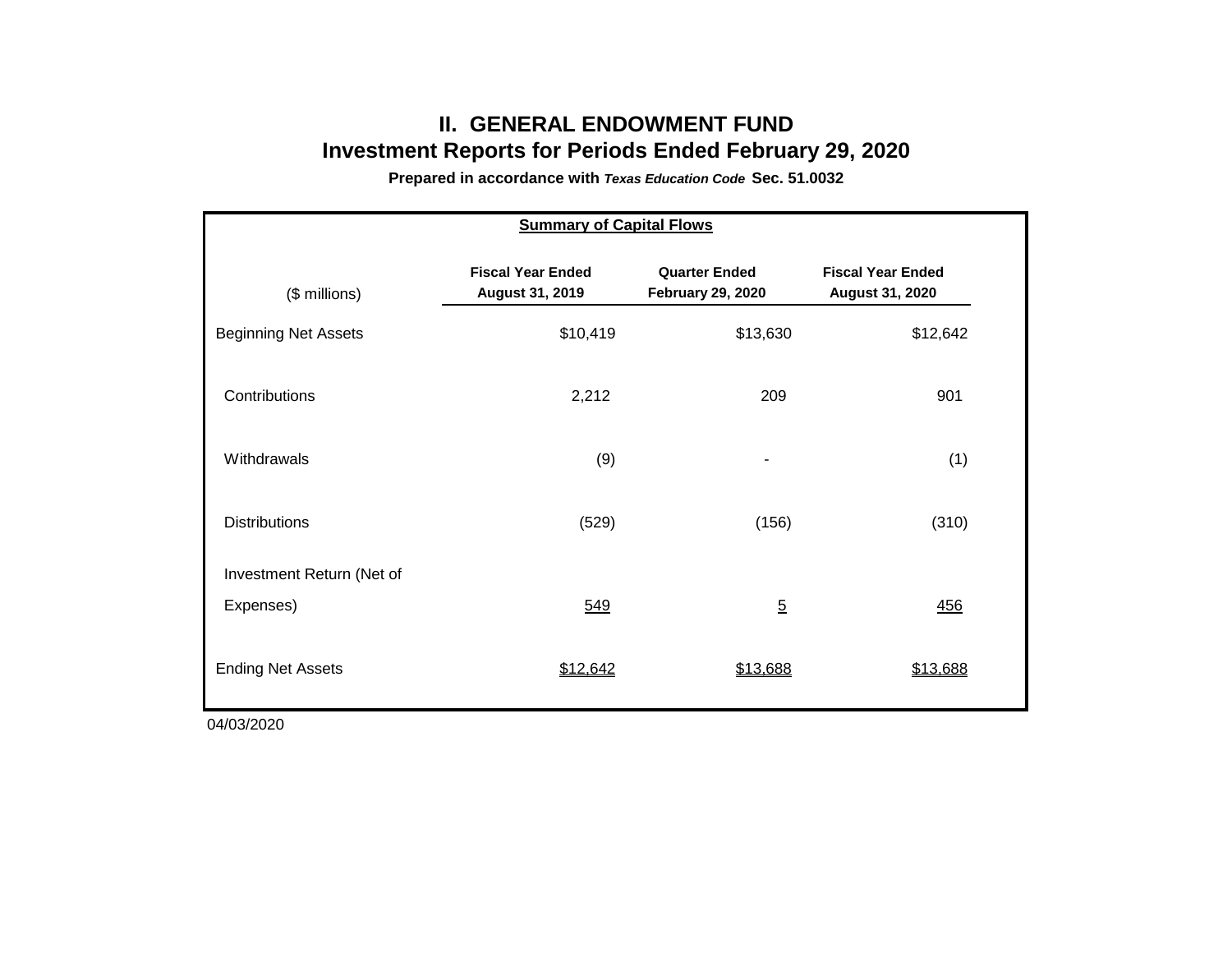## **II. GENERAL ENDOWMENT FUND Investment Reports for Periods Ended February 29, 2020**

**Prepared in accordance with** *Texas Education Code* **Sec. 51.0032**

| <b>Summary of Capital Flows</b> |                                             |                                                  |                                             |  |  |  |  |  |  |  |
|---------------------------------|---------------------------------------------|--------------------------------------------------|---------------------------------------------|--|--|--|--|--|--|--|
| (\$ millions)                   | <b>Fiscal Year Ended</b><br>August 31, 2019 | <b>Quarter Ended</b><br><b>February 29, 2020</b> | <b>Fiscal Year Ended</b><br>August 31, 2020 |  |  |  |  |  |  |  |
| <b>Beginning Net Assets</b>     | \$10,419                                    | \$13,630                                         | \$12,642                                    |  |  |  |  |  |  |  |
| Contributions                   | 2,212                                       | 209                                              | 901                                         |  |  |  |  |  |  |  |
| Withdrawals                     | (9)                                         |                                                  | (1)                                         |  |  |  |  |  |  |  |
| <b>Distributions</b>            | (529)                                       | (156)                                            | (310)                                       |  |  |  |  |  |  |  |
| Investment Return (Net of       |                                             |                                                  |                                             |  |  |  |  |  |  |  |
| Expenses)                       | 549                                         | $\overline{5}$                                   | 456                                         |  |  |  |  |  |  |  |
| <b>Ending Net Assets</b>        | \$12,642                                    | \$13,688                                         | \$13,688                                    |  |  |  |  |  |  |  |

04/03/2020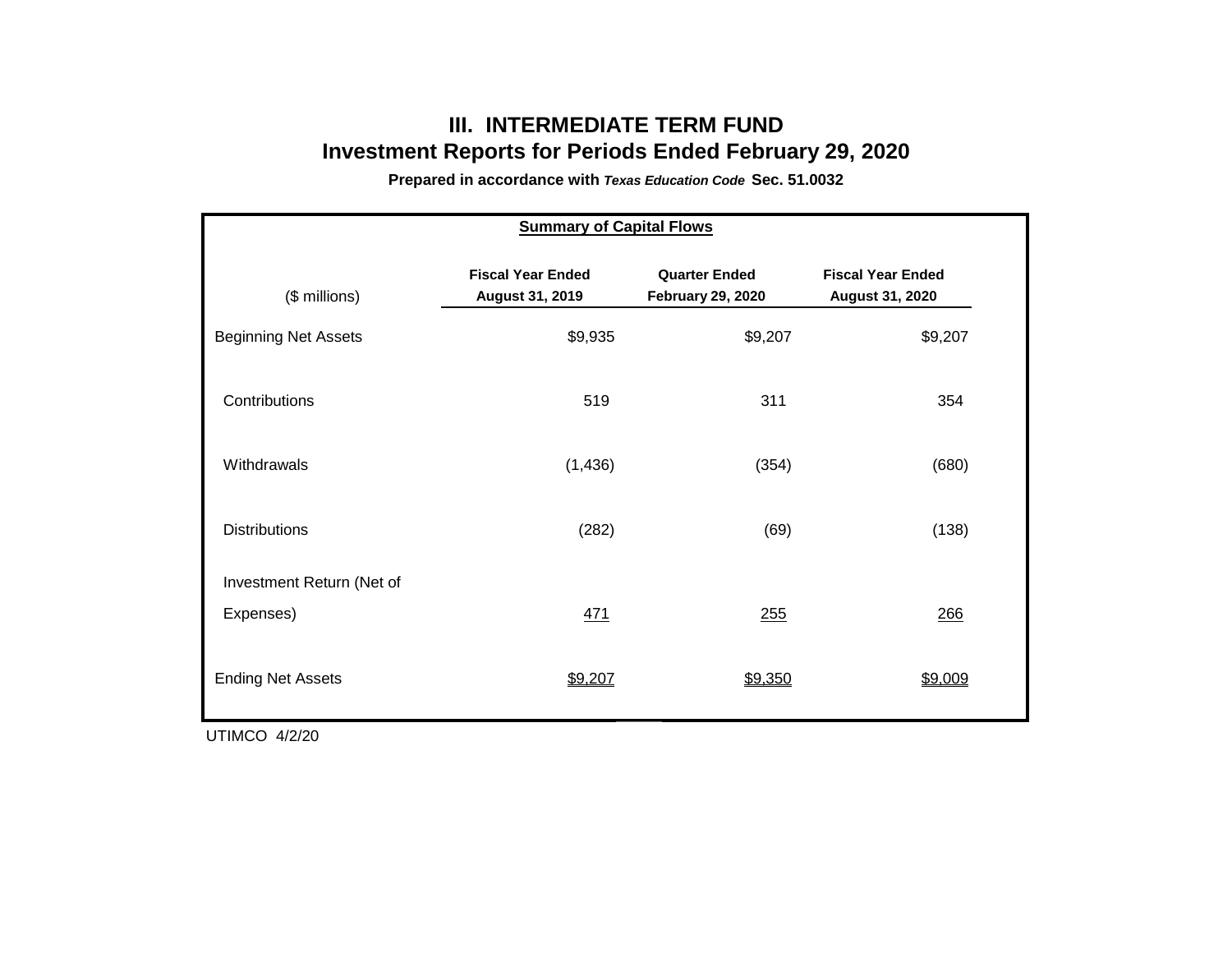### **III. INTERMEDIATE TERM FUND Investment Reports for Periods Ended February 29, 2020**

**Prepared in accordance with** *Texas Education Code* **Sec. 51.0032**

| <b>Summary of Capital Flows</b> |                                             |                                                  |                                             |  |  |  |  |  |  |  |
|---------------------------------|---------------------------------------------|--------------------------------------------------|---------------------------------------------|--|--|--|--|--|--|--|
| (\$ millions)                   | <b>Fiscal Year Ended</b><br>August 31, 2019 | <b>Quarter Ended</b><br><b>February 29, 2020</b> | <b>Fiscal Year Ended</b><br>August 31, 2020 |  |  |  |  |  |  |  |
| <b>Beginning Net Assets</b>     | \$9,935                                     | \$9,207                                          | \$9,207                                     |  |  |  |  |  |  |  |
| Contributions                   | 519                                         | 311                                              | 354                                         |  |  |  |  |  |  |  |
| Withdrawals                     | (1, 436)                                    | (354)                                            | (680)                                       |  |  |  |  |  |  |  |
| <b>Distributions</b>            | (282)                                       | (69)                                             | (138)                                       |  |  |  |  |  |  |  |
| Investment Return (Net of       |                                             |                                                  |                                             |  |  |  |  |  |  |  |
| Expenses)                       | 471                                         | 255                                              | 266                                         |  |  |  |  |  |  |  |
| <b>Ending Net Assets</b>        | \$9,207                                     | \$9,350                                          | \$9,009                                     |  |  |  |  |  |  |  |

UTIMCO 4/2/20